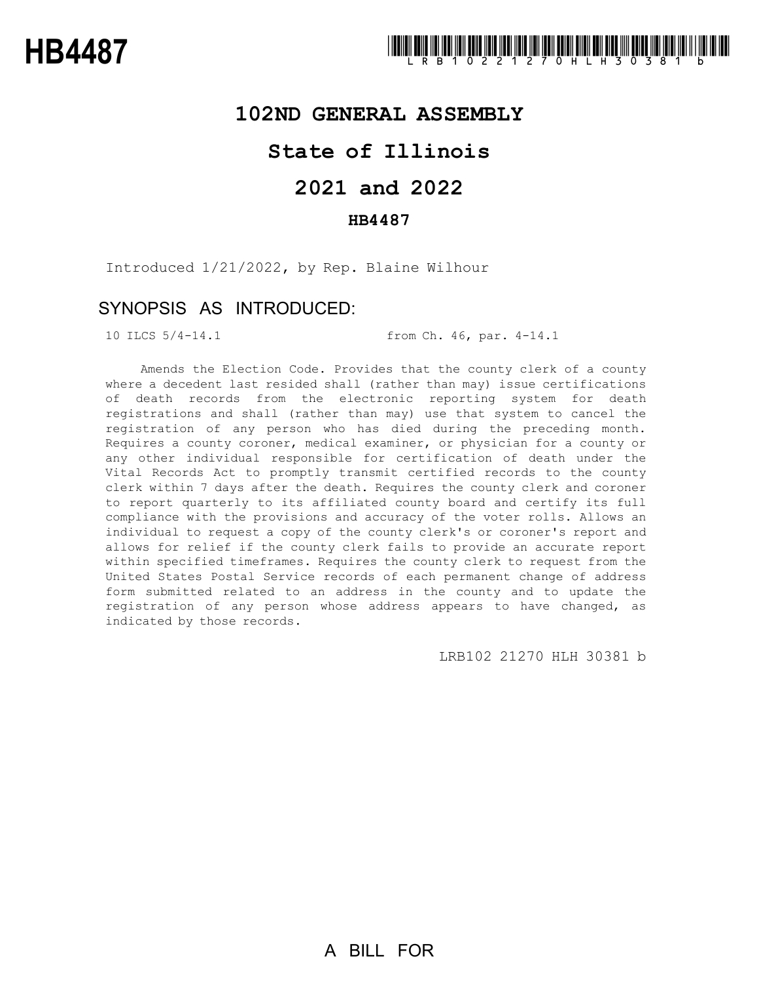### **102ND GENERAL ASSEMBLY**

## **State of Illinois**

# **2021 and 2022**

### **HB4487**

Introduced 1/21/2022, by Rep. Blaine Wilhour

### SYNOPSIS AS INTRODUCED:

10 ILCS 5/4-14.1 from Ch. 46, par. 4-14.1

Amends the Election Code. Provides that the county clerk of a county where a decedent last resided shall (rather than may) issue certifications of death records from the electronic reporting system for death registrations and shall (rather than may) use that system to cancel the registration of any person who has died during the preceding month. Requires a county coroner, medical examiner, or physician for a county or any other individual responsible for certification of death under the Vital Records Act to promptly transmit certified records to the county clerk within 7 days after the death. Requires the county clerk and coroner to report quarterly to its affiliated county board and certify its full compliance with the provisions and accuracy of the voter rolls. Allows an individual to request a copy of the county clerk's or coroner's report and allows for relief if the county clerk fails to provide an accurate report within specified timeframes. Requires the county clerk to request from the United States Postal Service records of each permanent change of address form submitted related to an address in the county and to update the registration of any person whose address appears to have changed, as indicated by those records.

LRB102 21270 HLH 30381 b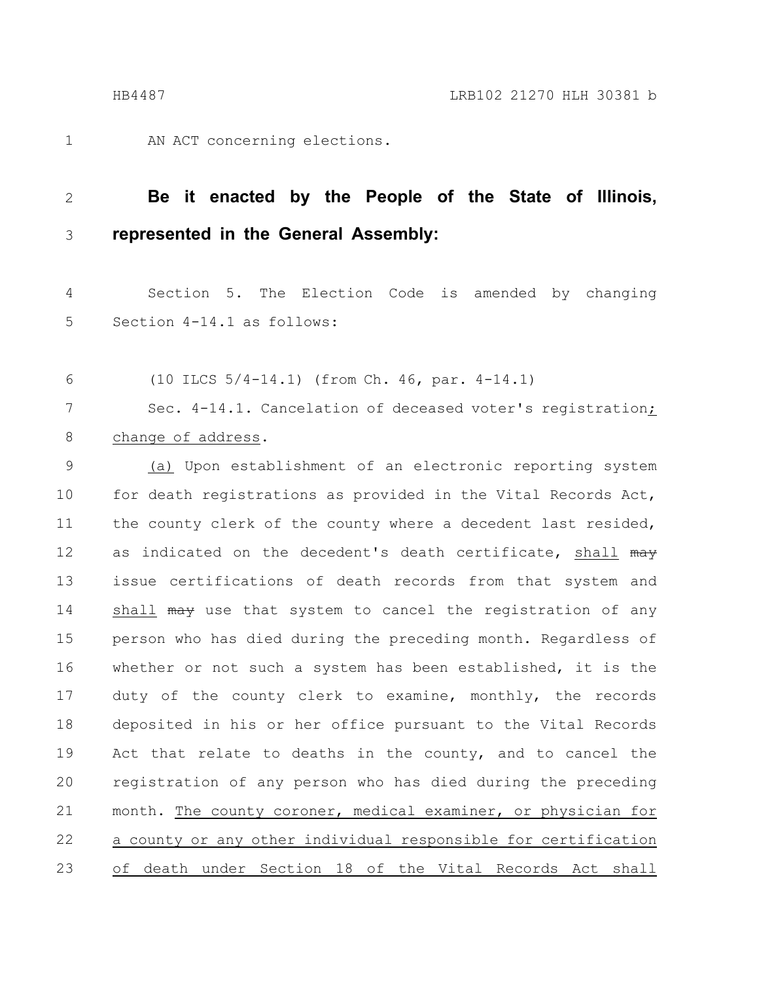1

AN ACT concerning elections.

### **Be it enacted by the People of the State of Illinois, represented in the General Assembly:** 2 3

Section 5. The Election Code is amended by changing Section 4-14.1 as follows: 4 5

(10 ILCS 5/4-14.1) (from Ch. 46, par. 4-14.1) 6

Sec. 4-14.1. Cancelation of deceased voter's registration; change of address. 7 8

(a) Upon establishment of an electronic reporting system for death registrations as provided in the Vital Records Act, the county clerk of the county where a decedent last resided, as indicated on the decedent's death certificate, shall may issue certifications of death records from that system and shall may use that system to cancel the registration of any person who has died during the preceding month. Regardless of whether or not such a system has been established, it is the duty of the county clerk to examine, monthly, the records deposited in his or her office pursuant to the Vital Records Act that relate to deaths in the county, and to cancel the registration of any person who has died during the preceding month. The county coroner, medical examiner, or physician for a county or any other individual responsible for certification of death under Section 18 of the Vital Records Act shall 9 10 11 12 13 14 15 16 17 18 19 20 21 22 23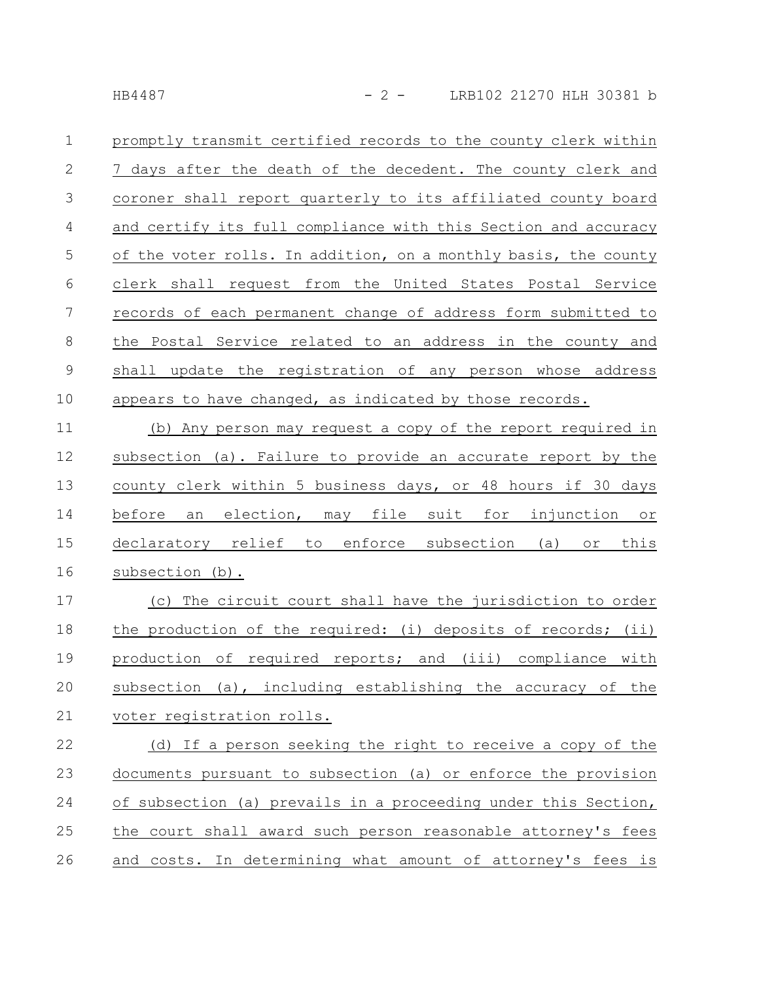| $\mathbf 1$ | promptly transmit certified records to the county clerk within  |
|-------------|-----------------------------------------------------------------|
| 2           | 7 days after the death of the decedent. The county clerk and    |
| 3           | coroner shall report quarterly to its affiliated county board   |
| 4           | and certify its full compliance with this Section and accuracy  |
| 5           | of the voter rolls. In addition, on a monthly basis, the county |
| 6           | clerk shall request from the United States Postal Service       |
| 7           | records of each permanent change of address form submitted to   |
| 8           | the Postal Service related to an address in the county and      |
| 9           | shall update the registration of any person whose address       |
| 10          | appears to have changed, as indicated by those records.         |
| 11          | (b) Any person may request a copy of the report required in     |
| 12          | subsection (a). Failure to provide an accurate report by the    |
| 13          | county clerk within 5 business days, or 48 hours if 30 days     |
| 14          | before an election, may file suit for injunction or             |

declaratory relief to enforce subsection (a) or this subsection (b). 15 16

(c) The circuit court shall have the jurisdiction to order the production of the required: (i) deposits of records; (ii) production of required reports; and (iii) compliance with subsection (a), including establishing the accuracy of the voter registration rolls. 17 18 19 20 21

(d) If a person seeking the right to receive a copy of the documents pursuant to subsection (a) or enforce the provision of subsection (a) prevails in a proceeding under this Section, the court shall award such person reasonable attorney's fees and costs. In determining what amount of attorney's fees is 22 23 24 25 26